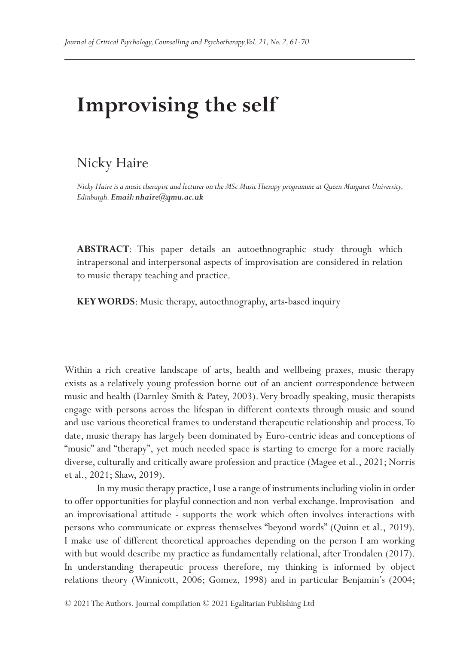# **Improvising the self**

# Nicky Haire

*Nicky Haire is a music therapist and lecturer on the MSc Music Therapy programme at Queen Margaret University, Edinburgh. Email: nhaire@qmu.ac.uk*

**ABSTRACT**: This paper details an autoethnographic study through which intrapersonal and interpersonal aspects of improvisation are considered in relation to music therapy teaching and practice.

**KEY WORDS**: Music therapy, autoethnography, arts-based inquiry

Within a rich creative landscape of arts, health and wellbeing praxes, music therapy exists as a relatively young profession borne out of an ancient correspondence between music and health (Darnley-Smith & Patey, 2003). Very broadly speaking, music therapists engage with persons across the lifespan in different contexts through music and sound and use various theoretical frames to understand therapeutic relationship and process. To date, music therapy has largely been dominated by Euro-centric ideas and conceptions of "music" and "therapy", yet much needed space is starting to emerge for a more racially diverse, culturally and critically aware profession and practice (Magee et al., 2021; Norris et al., 2021; Shaw, 2019).

In my music therapy practice, I use a range of instruments including violin in order to offer opportunities for playful connection and non-verbal exchange. Improvisation - and an improvisational attitude - supports the work which often involves interactions with persons who communicate or express themselves "beyond words" (Quinn et al., 2019). I make use of different theoretical approaches depending on the person I am working with but would describe my practice as fundamentally relational, after Trondalen (2017). In understanding therapeutic process therefore, my thinking is informed by object relations theory (Winnicott, 2006; Gomez, 1998) and in particular Benjamin's (2004;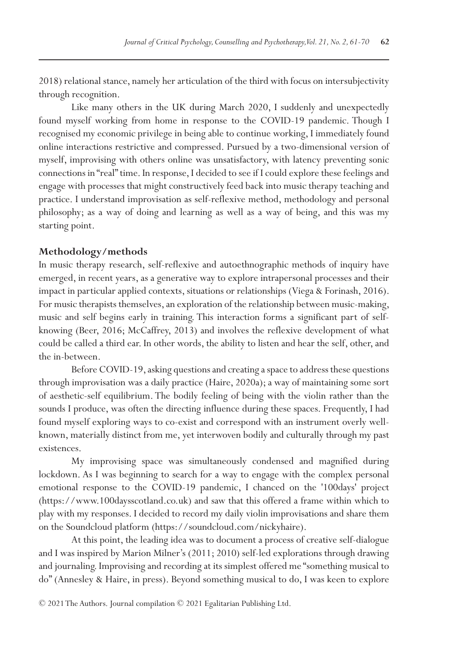2018) relational stance, namely her articulation of the third with focus on intersubjectivity through recognition.

Like many others in the UK during March 2020, I suddenly and unexpectedly found myself working from home in response to the COVID-19 pandemic. Though I recognised my economic privilege in being able to continue working, I immediately found online interactions restrictive and compressed. Pursued by a two-dimensional version of myself, improvising with others online was unsatisfactory, with latency preventing sonic connections in "real" time. In response, I decided to see if I could explore these feelings and engage with processes that might constructively feed back into music therapy teaching and practice. I understand improvisation as self-reflexive method, methodology and personal philosophy; as a way of doing and learning as well as a way of being, and this was my starting point.

# **Methodology/methods**

In music therapy research, self-reflexive and autoethnographic methods of inquiry have emerged, in recent years, as a generative way to explore intrapersonal processes and their impact in particular applied contexts, situations or relationships (Viega & Forinash, 2016). For music therapists themselves, an exploration of the relationship between music-making, music and self begins early in training. This interaction forms a significant part of selfknowing (Beer, 2016; McCaffrey, 2013) and involves the reflexive development of what could be called a third ear. In other words, the ability to listen and hear the self, other, and the in-between.

Before COVID-19, asking questions and creating a space to address these questions through improvisation was a daily practice (Haire, 2020a); a way of maintaining some sort of aesthetic-self equilibrium. The bodily feeling of being with the violin rather than the sounds I produce, was often the directing influence during these spaces. Frequently, I had found myself exploring ways to co-exist and correspond with an instrument overly wellknown, materially distinct from me, yet interwoven bodily and culturally through my past existences.

My improvising space was simultaneously condensed and magnified during lockdown. As I was beginning to search for a way to engage with the complex personal emotional response to the COVID-19 pandemic, I chanced on the '100days' project (https://www.100daysscotland.co.uk) and saw that this offered a frame within which to play with my responses. I decided to record my daily violin improvisations and share them on the Soundcloud platform (https://soundcloud.com/nickyhaire).

At this point, the leading idea was to document a process of creative self-dialogue and I was inspired by Marion Milner's (2011; 2010) self-led explorations through drawing and journaling. Improvising and recording at its simplest offered me "something musical to do" (Annesley & Haire, in press). Beyond something musical to do, I was keen to explore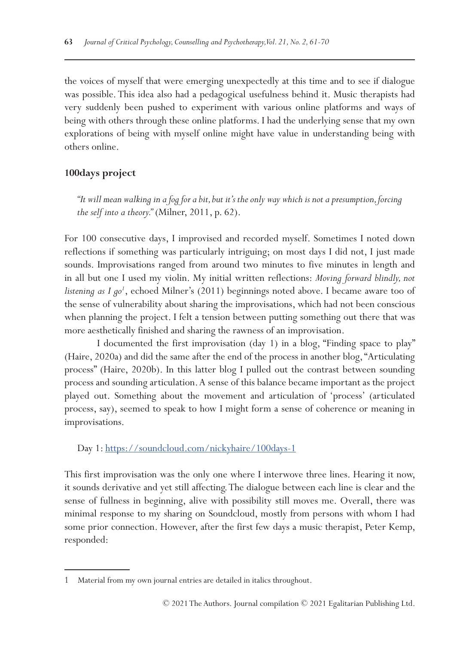the voices of myself that were emerging unexpectedly at this time and to see if dialogue was possible. This idea also had a pedagogical usefulness behind it. Music therapists had very suddenly been pushed to experiment with various online platforms and ways of being with others through these online platforms. I had the underlying sense that my own explorations of being with myself online might have value in understanding being with others online.

# **100days project**

*"It will mean walking in a fog for a bit, but it's the only way which is not a presumption, forcing the self into a theory."* (Milner, 2011, p. 62).

For 100 consecutive days, I improvised and recorded myself. Sometimes I noted down reflections if something was particularly intriguing; on most days I did not, I just made sounds. Improvisations ranged from around two minutes to five minutes in length and in all but one I used my violin. My initial written reflections: *Moving forward blindly, not*  listening as I go<sup>1</sup>, echoed Milner's (2011) beginnings noted above. I became aware too of the sense of vulnerability about sharing the improvisations, which had not been conscious when planning the project. I felt a tension between putting something out there that was more aesthetically finished and sharing the rawness of an improvisation.

I documented the first improvisation (day 1) in a blog, "Finding space to play" (Haire, 2020a) and did the same after the end of the process in another blog, "Articulating process" (Haire, 2020b). In this latter blog I pulled out the contrast between sounding process and sounding articulation. A sense of this balance became important as the project played out. Something about the movement and articulation of 'process' (articulated process, say), seemed to speak to how I might form a sense of coherence or meaning in improvisations.

Day 1: <https://soundcloud.com/nickyhaire/100days-1>

This first improvisation was the only one where I interwove three lines. Hearing it now, it sounds derivative and yet still affecting. The dialogue between each line is clear and the sense of fullness in beginning, alive with possibility still moves me. Overall, there was minimal response to my sharing on Soundcloud, mostly from persons with whom I had some prior connection. However, after the first few days a music therapist, Peter Kemp, responded:

<sup>1</sup> Material from my own journal entries are detailed in italics throughout.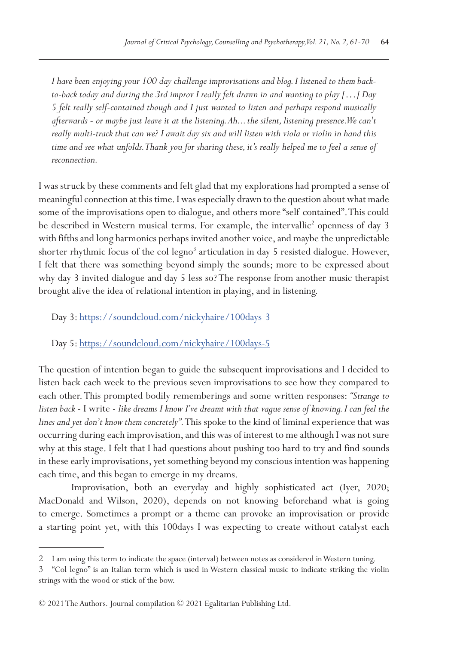*I have been enjoying your 100 day challenge improvisations and blog. I listened to them backto-back today and during the 3rd improv I really felt drawn in and wanting to play […] Day 5 felt really self-contained though and I just wanted to listen and perhaps respond musically afterwards - or maybe just leave it at the listening. Ah... the silent, listening presence. We can't really multi-track that can we? I await day six and will listen with viola or violin in hand this time and see what unfolds. Thank you for sharing these, it's really helped me to feel a sense of reconnection.*

I was struck by these comments and felt glad that my explorations had prompted a sense of meaningful connection at this time. I was especially drawn to the question about what made some of the improvisations open to dialogue, and others more "self-contained". This could be described in Western musical terms. For example, the intervallic<sup>2</sup> openness of day 3 with fifths and long harmonics perhaps invited another voice, and maybe the unpredictable shorter rhythmic focus of the col legno<sup>3</sup> articulation in day 5 resisted dialogue. However, I felt that there was something beyond simply the sounds; more to be expressed about why day 3 invited dialogue and day 5 less so? The response from another music therapist brought alive the idea of relational intention in playing, and in listening.

Day 3: <https://soundcloud.com/nickyhaire/100days-3>

Day 5: <https://soundcloud.com/nickyhaire/100days-5>

The question of intention began to guide the subsequent improvisations and I decided to listen back each week to the previous seven improvisations to see how they compared to each other. This prompted bodily rememberings and some written responses: *"Strange to listen back* - I write - *like dreams I know I've dreamt with that vague sense of knowing. I can feel the lines and yet don't know them concretely".* This spoke to the kind of liminal experience that was occurring during each improvisation, and this was of interest to me although I was not sure why at this stage. I felt that I had questions about pushing too hard to try and find sounds in these early improvisations, yet something beyond my conscious intention was happening each time, and this began to emerge in my dreams.

Improvisation, both an everyday and highly sophisticated act (Iyer, 2020; MacDonald and Wilson, 2020), depends on not knowing beforehand what is going to emerge. Sometimes a prompt or a theme can provoke an improvisation or provide a starting point yet, with this 100days I was expecting to create without catalyst each

<sup>2</sup> I am using this term to indicate the space (interval) between notes as considered in Western tuning.

<sup>3</sup> "Col legno" is an Italian term which is used in Western classical music to indicate striking the violin strings with the wood or stick of the bow.

<sup>© 2021</sup> The Authors. Journal compilation © 2021 Egalitarian Publishing Ltd.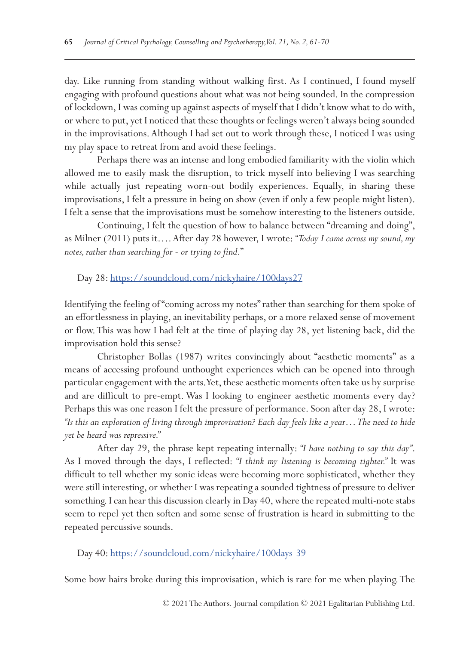day. Like running from standing without walking first. As I continued, I found myself engaging with profound questions about what was not being sounded. In the compression of lockdown, I was coming up against aspects of myself that I didn't know what to do with, or where to put, yet I noticed that these thoughts or feelings weren't always being sounded in the improvisations. Although I had set out to work through these, I noticed I was using my play space to retreat from and avoid these feelings.

Perhaps there was an intense and long embodied familiarity with the violin which allowed me to easily mask the disruption, to trick myself into believing I was searching while actually just repeating worn-out bodily experiences. Equally, in sharing these improvisations, I felt a pressure in being on show (even if only a few people might listen). I felt a sense that the improvisations must be somehow interesting to the listeners outside.

Continuing, I felt the question of how to balance between "dreaming and doing", as Milner (2011) puts it…. After day 28 however, I wrote: *"Today I came across my sound, my notes, rather than searching for - or trying to find.*"

Day 28:<https://soundcloud.com/nickyhaire/100days27>

Identifying the feeling of "coming across my notes" rather than searching for them spoke of an effortlessness in playing, an inevitability perhaps, or a more relaxed sense of movement or flow. This was how I had felt at the time of playing day 28, yet listening back, did the improvisation hold this sense?

Christopher Bollas (1987) writes convincingly about "aesthetic moments" as a means of accessing profound unthought experiences which can be opened into through particular engagement with the arts. Yet, these aesthetic moments often take us by surprise and are difficult to pre-empt. Was I looking to engineer aesthetic moments every day? Perhaps this was one reason I felt the pressure of performance. Soon after day 28, I wrote: *"Is this an exploration of living through improvisation? Each day feels like a year… The need to hide yet be heard was repressive."*

After day 29, the phrase kept repeating internally: *"I have nothing to say this day"*. As I moved through the days, I reflected: *"I think my listening is becoming tighter."* It was difficult to tell whether my sonic ideas were becoming more sophisticated, whether they were still interesting, or whether I was repeating a sounded tightness of pressure to deliver something. I can hear this discussion clearly in Day 40, where the repeated multi-note stabs seem to repel yet then soften and some sense of frustration is heard in submitting to the repeated percussive sounds.

Day 40:<https://soundcloud.com/nickyhaire/100days-39>

Some bow hairs broke during this improvisation, which is rare for me when playing. The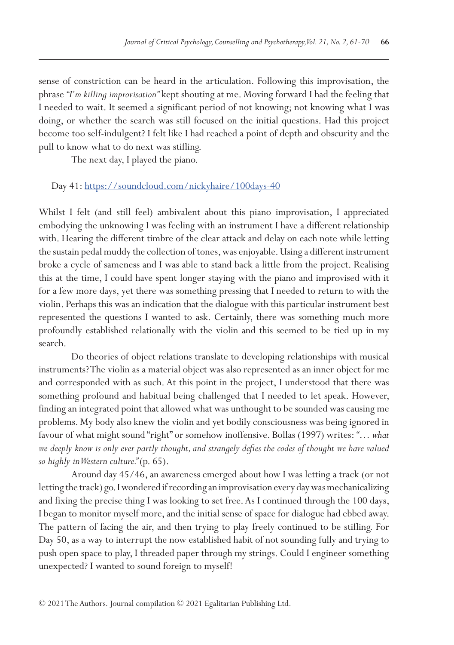sense of constriction can be heard in the articulation. Following this improvisation, the phrase *"I'm killing improvisation"* kept shouting at me. Moving forward I had the feeling that I needed to wait. It seemed a significant period of not knowing; not knowing what I was doing, or whether the search was still focused on the initial questions. Had this project become too self-indulgent? I felt like I had reached a point of depth and obscurity and the pull to know what to do next was stifling.

The next day, I played the piano.

Day 41:<https://soundcloud.com/nickyhaire/100days-40>

Whilst I felt (and still feel) ambivalent about this piano improvisation, I appreciated embodying the unknowing I was feeling with an instrument I have a different relationship with. Hearing the different timbre of the clear attack and delay on each note while letting the sustain pedal muddy the collection of tones, was enjoyable. Using a different instrument broke a cycle of sameness and I was able to stand back a little from the project. Realising this at the time, I could have spent longer staying with the piano and improvised with it for a few more days, yet there was something pressing that I needed to return to with the violin. Perhaps this was an indication that the dialogue with this particular instrument best represented the questions I wanted to ask. Certainly, there was something much more profoundly established relationally with the violin and this seemed to be tied up in my search.

Do theories of object relations translate to developing relationships with musical instruments? The violin as a material object was also represented as an inner object for me and corresponded with as such. At this point in the project, I understood that there was something profound and habitual being challenged that I needed to let speak. However, finding an integrated point that allowed what was unthought to be sounded was causing me problems. My body also knew the violin and yet bodily consciousness was being ignored in favour of what might sound "right" or somehow inoffensive. Bollas (1997) writes: *"… what we deeply know is only ever partly thought, and strangely defies the codes of thought we have valued so highly in Western culture."* (p. 65).

Around day 45/46, an awareness emerged about how I was letting a track (or not letting the track) go. I wondered if recording an improvisation every day was mechanicalizing and fixing the precise thing I was looking to set free. As I continued through the 100 days, I began to monitor myself more, and the initial sense of space for dialogue had ebbed away. The pattern of facing the air, and then trying to play freely continued to be stifling. For Day 50, as a way to interrupt the now established habit of not sounding fully and trying to push open space to play, I threaded paper through my strings. Could I engineer something unexpected? I wanted to sound foreign to myself!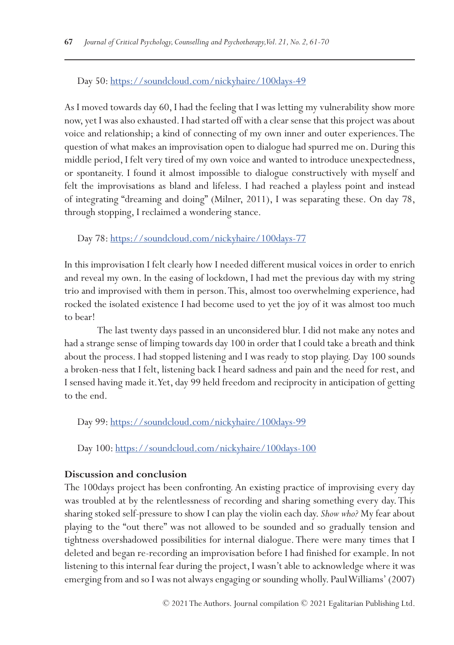# Day 50:<https://soundcloud.com/nickyhaire/100days-49>

As I moved towards day 60, I had the feeling that I was letting my vulnerability show more now, yet I was also exhausted. I had started off with a clear sense that this project was about voice and relationship; a kind of connecting of my own inner and outer experiences. The question of what makes an improvisation open to dialogue had spurred me on. During this middle period, I felt very tired of my own voice and wanted to introduce unexpectedness, or spontaneity. I found it almost impossible to dialogue constructively with myself and felt the improvisations as bland and lifeless. I had reached a playless point and instead of integrating "dreaming and doing" (Milner, 2011), I was separating these. On day 78, through stopping, I reclaimed a wondering stance.

Day 78:<https://soundcloud.com/nickyhaire/100days-77>

In this improvisation I felt clearly how I needed different musical voices in order to enrich and reveal my own. In the easing of lockdown, I had met the previous day with my string trio and improvised with them in person. This, almost too overwhelming experience, had rocked the isolated existence I had become used to yet the joy of it was almost too much to bear!

The last twenty days passed in an unconsidered blur. I did not make any notes and had a strange sense of limping towards day 100 in order that I could take a breath and think about the process. I had stopped listening and I was ready to stop playing. Day 100 sounds a broken-ness that I felt, listening back I heard sadness and pain and the need for rest, and I sensed having made it. Yet, day 99 held freedom and reciprocity in anticipation of getting to the end.

Day 99:<https://soundcloud.com/nickyhaire/100days-99>

Day 100: <https://soundcloud.com/nickyhaire/100days-100>

#### **Discussion and conclusion**

The 100days project has been confronting. An existing practice of improvising every day was troubled at by the relentlessness of recording and sharing something every day. This sharing stoked self-pressure to show I can play the violin each day. *Show who?* My fear about playing to the "out there" was not allowed to be sounded and so gradually tension and tightness overshadowed possibilities for internal dialogue. There were many times that I deleted and began re-recording an improvisation before I had finished for example. In not listening to this internal fear during the project, I wasn't able to acknowledge where it was emerging from and so I was not always engaging or sounding wholly. Paul Williams' (2007)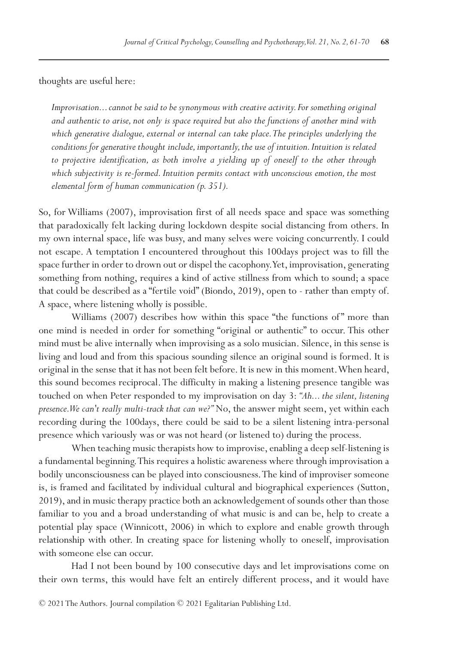thoughts are useful here:

*Improvisation... cannot be said to be synonymous with creative activity. For something original and authentic to arise, not only is space required but also the functions of another mind with which generative dialogue, external or internal can take place. The principles underlying the conditions for generative thought include, importantly, the use of intuition. Intuition is related to projective identification, as both involve a yielding up of oneself to the other through which subjectivity is re-formed. Intuition permits contact with unconscious emotion, the most elemental form of human communication (p. 351).*

So, for Williams (2007), improvisation first of all needs space and space was something that paradoxically felt lacking during lockdown despite social distancing from others. In my own internal space, life was busy, and many selves were voicing concurrently. I could not escape. A temptation I encountered throughout this 100days project was to fill the space further in order to drown out or dispel the cacophony. Yet, improvisation, generating something from nothing, requires a kind of active stillness from which to sound; a space that could be described as a "fertile void" (Biondo, 2019), open to - rather than empty of. A space, where listening wholly is possible.

Williams (2007) describes how within this space "the functions of" more than one mind is needed in order for something "original or authentic" to occur. This other mind must be alive internally when improvising as a solo musician. Silence, in this sense is living and loud and from this spacious sounding silence an original sound is formed. It is original in the sense that it has not been felt before. It is new in this moment. When heard, this sound becomes reciprocal. The difficulty in making a listening presence tangible was touched on when Peter responded to my improvisation on day 3: *"Ah... the silent, listening presence. We can't really multi-track that can we?"* No, the answer might seem, yet within each recording during the 100days, there could be said to be a silent listening intra-personal presence which variously was or was not heard (or listened to) during the process.

When teaching music therapists how to improvise, enabling a deep self-listening is a fundamental beginning. This requires a holistic awareness where through improvisation a bodily unconsciousness can be played into consciousness. The kind of improviser someone is, is framed and facilitated by individual cultural and biographical experiences (Sutton, 2019), and in music therapy practice both an acknowledgement of sounds other than those familiar to you and a broad understanding of what music is and can be, help to create a potential play space (Winnicott, 2006) in which to explore and enable growth through relationship with other. In creating space for listening wholly to oneself, improvisation with someone else can occur.

Had I not been bound by 100 consecutive days and let improvisations come on their own terms, this would have felt an entirely different process, and it would have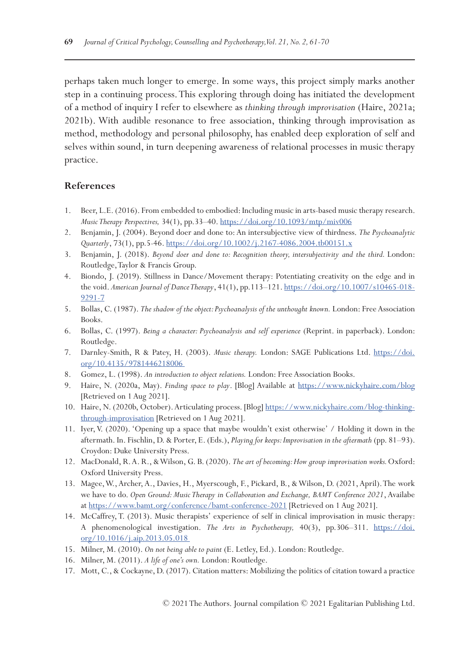perhaps taken much longer to emerge. In some ways, this project simply marks another step in a continuing process. This exploring through doing has initiated the development of a method of inquiry I refer to elsewhere as *thinking through improvisation* (Haire, 2021a; 2021b). With audible resonance to free association, thinking through improvisation as method, methodology and personal philosophy, has enabled deep exploration of self and selves within sound, in turn deepening awareness of relational processes in music therapy practice.

# **References**

- 1. Beer, L.E. (2016). From embedded to embodied: Including music in arts-based music therapy research. *Music Therapy Perspectives,* 34(1), pp.33–40.<https://doi.org/10.1093/mtp/miv006>
- 2. Benjamin, J. (2004). Beyond doer and done to: An intersubjective view of thirdness. *The Psychoanalytic Quarterly*, 73(1), pp.5-46. <https://doi.org/10.1002/j.2167-4086.2004.tb00151.x>
- 3. Benjamin, J. (2018). *Beyond doer and done to: Recognition theory, intersubjectivity and the third.* London: Routledge, Taylor & Francis Group.
- 4. Biondo, J. (2019). Stillness in Dance/Movement therapy: Potentiating creativity on the edge and in the void. *American Journal of Dance Therapy*, 41(1), pp.113–121. [https://doi.org/10.1007/s10465-018-](https://doi.org/10.1007/s10465-018-9291-7) [9291-7](https://doi.org/10.1007/s10465-018-9291-7)
- 5. Bollas, C. (1987). *The shadow of the object: Psychoanalysis of the unthought known.* London: Free Association Books.
- 6. Bollas, C. (1997). *Being a character: Psychoanalysis and self experience* (Reprint. in paperback). London: Routledge.
- 7. Darnley-Smith, R & Patey, H. (2003). *Music therapy.* London: SAGE Publications Ltd. [https://doi.](https://doi.org/10.4135/9781446218006  ) [org/10.4135/9781446218006](https://doi.org/10.4135/9781446218006  )
- 8. Gomez, L. (1998). *An introduction to object relations.* London: Free Association Books.
- 9. Haire, N. (2020a, May). *Finding space to play*. [Blog] Available at [https://www.nickyhaire.com/blog](https://www.nickyhaire.com/blog ) [Retrieved on 1 Aug 2021].
- 10. Haire, N. (2020b, October). Articulating process. [Blog] [https://www.nickyhaire.com/blog-thinking](https://www.nickyhaire.com/blog-thinking-through-improvisation)[through-improvisation](https://www.nickyhaire.com/blog-thinking-through-improvisation) [Retrieved on 1 Aug 2021].
- 11. Iyer, V. (2020). 'Opening up a space that maybe wouldn't exist otherwise' / Holding it down in the aftermath. In. Fischlin, D. & Porter, E. (Eds.), *Playing for keeps: Improvisation in the aftermath* (pp. 81–93). Croydon: Duke University Press.
- 12. MacDonald, R. A. R., & Wilson, G. B. (2020). *The art of becoming: How group improvisation works.* Oxford: Oxford University Press.
- 13. Magee, W., Archer, A., Davies, H., Myerscough, F., Pickard, B., & Wilson, D. (2021, April). The work we have to do. *Open Ground: Music Therapy in Collaboration and Exchange, BAMT Conference 2021*, Availabe at <https://www.bamt.org/conference/bamt-conference-2021> [Retrieved on 1 Aug 2021].
- 14. McCaffrey, T. (2013). Music therapists' experience of self in clinical improvisation in music therapy: A phenomenological investigation. *The Arts in Psychotherapy,* 40(3), pp.306–311. [https://doi.](https://doi.org/10.1016/j.aip.2013.05.018  ) [org/10.1016/j.aip.2013.05.018](https://doi.org/10.1016/j.aip.2013.05.018  )
- 15. Milner, M. (2010). *On not being able to paint* (E. Letley, Ed.). London: Routledge.
- 16. Milner, M. (2011). *A life of one's own.* London: Routledge.
- 17. Mott, C., & Cockayne, D. (2017). Citation matters: Mobilizing the politics of citation toward a practice